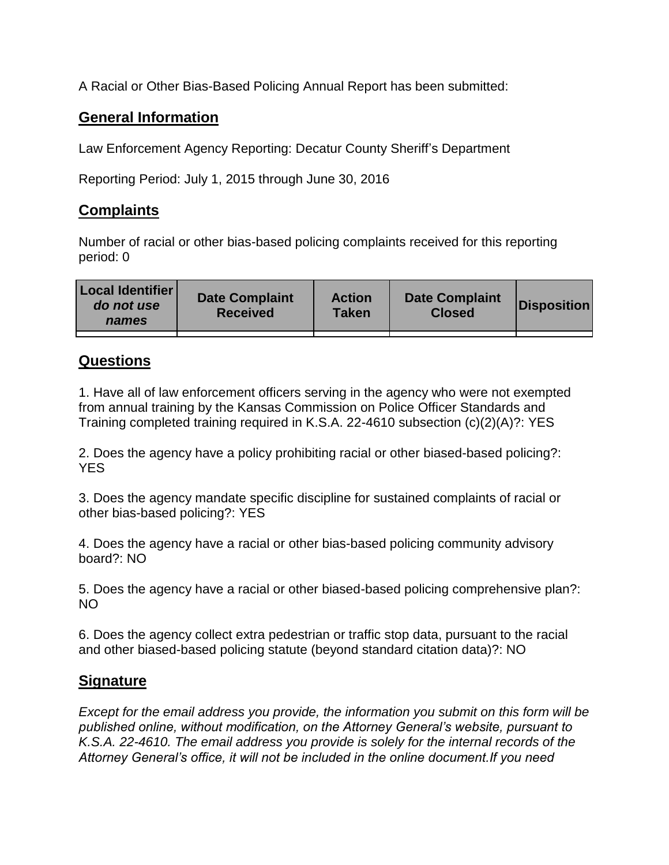A Racial or Other Bias-Based Policing Annual Report has been submitted:

## **General Information**

Law Enforcement Agency Reporting: Decatur County Sheriff's Department

Reporting Period: July 1, 2015 through June 30, 2016

## **Complaints**

Number of racial or other bias-based policing complaints received for this reporting period: 0

| <b>Local Identifier</b><br>do not use<br>names | <b>Date Complaint</b><br><b>Received</b> | <b>Action</b><br><b>Taken</b> | <b>Date Complaint</b><br><b>Closed</b> | Disposition |
|------------------------------------------------|------------------------------------------|-------------------------------|----------------------------------------|-------------|
|                                                |                                          |                               |                                        |             |

## **Questions**

1. Have all of law enforcement officers serving in the agency who were not exempted from annual training by the Kansas Commission on Police Officer Standards and Training completed training required in K.S.A. 22-4610 subsection (c)(2)(A)?: YES

2. Does the agency have a policy prohibiting racial or other biased-based policing?: YES

3. Does the agency mandate specific discipline for sustained complaints of racial or other bias-based policing?: YES

4. Does the agency have a racial or other bias-based policing community advisory board?: NO

5. Does the agency have a racial or other biased-based policing comprehensive plan?: NO

6. Does the agency collect extra pedestrian or traffic stop data, pursuant to the racial and other biased-based policing statute (beyond standard citation data)?: NO

## **Signature**

*Except for the email address you provide, the information you submit on this form will be published online, without modification, on the Attorney General's website, pursuant to K.S.A. 22-4610. The email address you provide is solely for the internal records of the Attorney General's office, it will not be included in the online document.If you need*